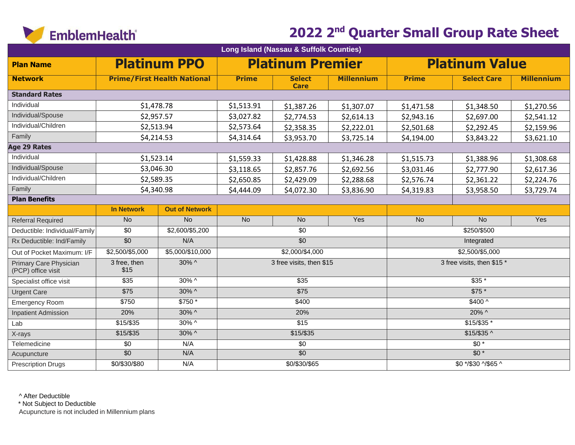

| Long Island (Nassau & Suffolk Counties)      |                      |                                    |                                                  |                              |                   |                            |                     |                   |  |
|----------------------------------------------|----------------------|------------------------------------|--------------------------------------------------|------------------------------|-------------------|----------------------------|---------------------|-------------------|--|
| <b>Plan Name</b>                             |                      | <b>Platinum PPO</b>                | <b>Platinum Premier</b><br><b>Platinum Value</b> |                              |                   |                            |                     |                   |  |
| <b>Network</b>                               |                      | <b>Prime/First Health National</b> | <b>Prime</b>                                     | <b>Select</b><br><b>Care</b> | <b>Millennium</b> | <b>Prime</b>               | <b>Select Care</b>  | <b>Millennium</b> |  |
| <b>Standard Rates</b>                        |                      |                                    |                                                  |                              |                   |                            |                     |                   |  |
| Individual                                   | \$1,478.78           |                                    | \$1,513.91                                       | \$1,387.26                   | \$1,307.07        | \$1,471.58                 | \$1,348.50          | \$1,270.56        |  |
| Individual/Spouse                            | \$2,957.57           |                                    | \$3,027.82                                       | \$2,774.53                   | \$2,614.13        | \$2,943.16                 | \$2,697.00          | \$2,541.12        |  |
| Individual/Children                          | \$2,513.94           |                                    | \$2,573.64                                       | \$2,358.35                   | \$2,222.01        | \$2,501.68                 | \$2,292.45          | \$2,159.96        |  |
| Family                                       | \$4,214.53           |                                    | \$4,314.64                                       | \$3,953.70                   | \$3,725.14        | \$4,194.00                 | \$3,843.22          | \$3,621.10        |  |
| Age 29 Rates                                 |                      |                                    |                                                  |                              |                   |                            |                     |                   |  |
| Individual                                   | \$1,523.14           |                                    | \$1,559.33                                       | \$1,428.88                   | \$1,346.28        | \$1,515.73                 | \$1,388.96          | \$1,308.68        |  |
| Individual/Spouse                            | \$3,046.30           |                                    | \$3,118.65                                       | \$2,857.76                   | \$2,692.56        | \$3,031.46                 | \$2,777.90          | \$2,617.36        |  |
| Individual/Children                          | \$2,589.35           |                                    | \$2,650.85                                       | \$2,429.09                   | \$2,288.68        | \$2,576.74                 | \$2,361.22          | \$2,224.76        |  |
| Family                                       | \$4,340.98           |                                    | \$4,444.09                                       | \$4,072.30                   | \$3,836.90        | \$4,319.83                 | \$3,958.50          | \$3,729.74        |  |
| <b>Plan Benefits</b>                         |                      |                                    |                                                  |                              |                   |                            |                     |                   |  |
|                                              | <b>In Network</b>    | <b>Out of Network</b>              |                                                  |                              |                   |                            |                     |                   |  |
| <b>Referral Required</b>                     | No                   | No                                 | <b>No</b>                                        | No                           | Yes               | No                         | No                  | Yes               |  |
| Deductible: Individual/Family                | $\overline{30}$      | \$2,600/\$5,200                    |                                                  | $\overline{30}$              |                   |                            | \$250/\$500         |                   |  |
| Rx Deductible: Ind/Family                    | $\overline{30}$      | N/A                                | $\overline{50}$                                  |                              |                   |                            | Integrated          |                   |  |
| Out of Pocket Maximum: I/F                   | \$2,500/\$5,000      | \$5,000/\$10,000                   | \$2,000/\$4,000                                  |                              |                   | \$2,500/\$5,000            |                     |                   |  |
| Primary Care Physician<br>(PCP) office visit | 3 free, then<br>\$15 | 30% ^                              | 3 free visits, then \$15                         |                              |                   | 3 free visits, then \$15 * |                     |                   |  |
| Specialist office visit                      | $\overline{$35}$     | 30% ^                              | $\overline{$35}$                                 |                              |                   | $$35*$                     |                     |                   |  |
| <b>Urgent Care</b>                           | $\overline{$75}$     | $30\%$ ^                           | $\overline{$75}$                                 |                              |                   | $$75*$                     |                     |                   |  |
| Emergency Room                               | \$750                | \$750 *                            | \$400                                            |                              |                   | $$400^{\circ}$             |                     |                   |  |
| <b>Inpatient Admission</b>                   | 20%                  | $30\%$ ^                           | 20%                                              |                              |                   | $20\%$ ^                   |                     |                   |  |
| Lab                                          | $$15/$ \$35          | $30\%$ ^                           | $\overline{$15}$                                 |                              |                   | $$15/$35$ *                |                     |                   |  |
| X-rays                                       | $$15/$ \$35          | $30\%$ ^                           | $$15/$ \$35                                      |                              |                   | $$15/\$35$ ^               |                     |                   |  |
| Telemedicine                                 | $\overline{30}$      | N/A                                |                                                  | $\overline{30}$              |                   |                            | $\overline{50*}$    |                   |  |
| Acupuncture                                  | $\overline{50}$      | N/A                                |                                                  | $\overline{60}$              |                   |                            | $\overline{50}$ *   |                   |  |
| <b>Prescription Drugs</b>                    | \$0/\$30/\$80        | N/A                                |                                                  | \$0/\$30/\$65                |                   |                            | \$0 */\$30 ^/\$65 ^ |                   |  |

^ After Deductible

\* Not Subject to Deductible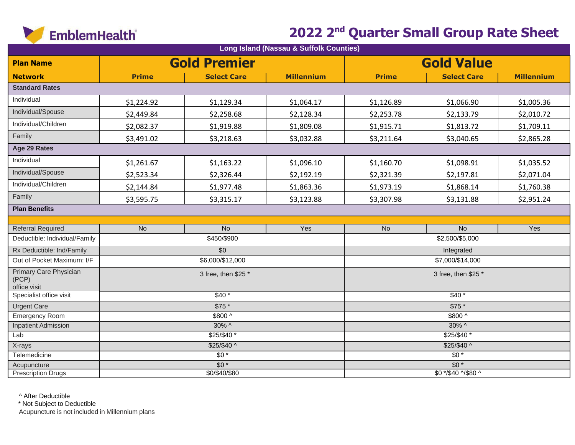

| Long Island (Nassau & Suffolk Counties)         |              |                     |                   |                     |                    |                   |  |  |
|-------------------------------------------------|--------------|---------------------|-------------------|---------------------|--------------------|-------------------|--|--|
| <b>Plan Name</b>                                |              | <b>Gold Premier</b> |                   | <b>Gold Value</b>   |                    |                   |  |  |
| <b>Network</b>                                  | <b>Prime</b> | <b>Select Care</b>  | <b>Millennium</b> | <b>Prime</b>        | <b>Select Care</b> | <b>Millennium</b> |  |  |
| <b>Standard Rates</b>                           |              |                     |                   |                     |                    |                   |  |  |
| Individual                                      | \$1,224.92   | \$1,129.34          | \$1,064.17        | \$1,126.89          | \$1,066.90         | \$1,005.36        |  |  |
| Individual/Spouse                               | \$2,449.84   | \$2,258.68          | \$2,128.34        | \$2,253.78          | \$2,133.79         | \$2,010.72        |  |  |
| Individual/Children                             | \$2,082.37   | \$1,919.88          | \$1,809.08        | \$1,915.71          | \$1,813.72         | \$1,709.11        |  |  |
| Family                                          | \$3,491.02   | \$3,218.63          | \$3,032.88        | \$3,211.64          | \$3,040.65         | \$2,865.28        |  |  |
| Age 29 Rates                                    |              |                     |                   |                     |                    |                   |  |  |
| Individual                                      | \$1,261.67   | \$1,163.22          | \$1,096.10        | \$1,160.70          | \$1,098.91         | \$1,035.52        |  |  |
| Individual/Spouse                               | \$2,523.34   | \$2,326.44          | \$2,192.19        | \$2,321.39          | \$2,197.81         | \$2,071.04        |  |  |
| Individual/Children                             | \$2,144.84   | \$1,977.48          | \$1,863.36        | \$1,973.19          | \$1,868.14         | \$1,760.38        |  |  |
| Family                                          | \$3,595.75   | \$3,315.17          | \$3,123.88        | \$3,307.98          | \$3,131.88         | \$2,951.24        |  |  |
| <b>Plan Benefits</b>                            |              |                     |                   |                     |                    |                   |  |  |
|                                                 |              |                     |                   |                     |                    |                   |  |  |
| <b>Referral Required</b>                        | <b>No</b>    | $\overline{N}$      | Yes               | <b>No</b>           | N <sub>o</sub>     | Yes               |  |  |
| Deductible: Individual/Family                   |              | \$450/\$900         |                   |                     | \$2,500/\$5,000    |                   |  |  |
| Rx Deductible: Ind/Family                       |              | \$0                 |                   | Integrated          |                    |                   |  |  |
| Out of Pocket Maximum: I/F                      |              | \$6,000/\$12,000    |                   | \$7,000/\$14,000    |                    |                   |  |  |
| Primary Care Physician<br>(PCP)<br>office visit |              | 3 free, then \$25 * |                   | 3 free, then \$25 * |                    |                   |  |  |
| Specialist office visit                         |              | $$40*$              |                   | $$40*$              |                    |                   |  |  |
| <b>Urgent Care</b>                              |              | $$75*$              |                   | $$75*$              |                    |                   |  |  |
| <b>Emergency Room</b>                           |              | \$800 ^             |                   | \$800 ^             |                    |                   |  |  |
| <b>Inpatient Admission</b>                      |              | 30% ^               |                   | 30% ^               |                    |                   |  |  |
| Lab                                             |              | $$25/$40$ *         |                   | \$25/\$40 *         |                    |                   |  |  |
| X-rays                                          |              | $$25/$40^{\circ}$   |                   | $$25/\$40^{\circ}$  |                    |                   |  |  |
| Telemedicine                                    |              | $\overline{50*}$    |                   | $\overline{50*}$    |                    |                   |  |  |
| Acupuncture                                     |              | $\overline{50*}$    |                   | $\overline{50*}$    |                    |                   |  |  |
| <b>Prescription Drugs</b>                       |              | \$0/\$40/\$80       |                   | \$0 */\$40 ^/\$80 ^ |                    |                   |  |  |

^ After Deductible

\* Not Subject to Deductible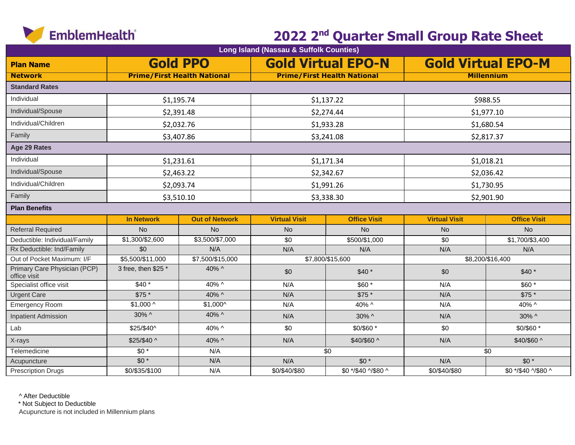

| Long Island (Nassau & Suffolk Counties)      |                                    |                       |                      |                                    |                           |                     |  |  |  |
|----------------------------------------------|------------------------------------|-----------------------|----------------------|------------------------------------|---------------------------|---------------------|--|--|--|
| <b>Plan Name</b>                             | <b>Gold PPO</b>                    |                       |                      | <b>Gold Virtual EPO-N</b>          | <b>Gold Virtual EPO-M</b> |                     |  |  |  |
| <b>Network</b>                               | <b>Prime/First Health National</b> |                       |                      | <b>Prime/First Health National</b> | <b>Millennium</b>         |                     |  |  |  |
| <b>Standard Rates</b>                        |                                    |                       |                      |                                    |                           |                     |  |  |  |
| Individual                                   |                                    | \$1,195.74            |                      | \$1,137.22                         | \$988.55                  |                     |  |  |  |
| Individual/Spouse                            |                                    | \$2,391.48            |                      | \$2,274.44                         | \$1,977.10                |                     |  |  |  |
| Individual/Children                          |                                    | \$2,032.76            |                      | \$1,933.28                         | \$1,680.54                |                     |  |  |  |
| Family                                       |                                    | \$3,407.86            |                      | \$3,241.08                         | \$2,817.37                |                     |  |  |  |
| Age 29 Rates                                 |                                    |                       |                      |                                    |                           |                     |  |  |  |
| Individual                                   |                                    | \$1,231.61            |                      | \$1,171.34                         | \$1,018.21                |                     |  |  |  |
| Individual/Spouse                            |                                    | \$2,463.22            |                      | \$2,342.67                         | \$2,036.42                |                     |  |  |  |
| Individual/Children                          | \$2,093.74                         |                       | \$1,991.26           |                                    | \$1,730.95                |                     |  |  |  |
| Family                                       |                                    | \$3,510.10            |                      | \$3,338.30                         | \$2,901.90                |                     |  |  |  |
| <b>Plan Benefits</b>                         |                                    |                       |                      |                                    |                           |                     |  |  |  |
|                                              | <b>In Network</b>                  | <b>Out of Network</b> | <b>Virtual Visit</b> | <b>Office Visit</b>                | <b>Virtual Visit</b>      | <b>Office Visit</b> |  |  |  |
| <b>Referral Required</b>                     | <b>No</b>                          | <b>No</b>             | <b>No</b>            | <b>No</b>                          | <b>No</b>                 | <b>No</b>           |  |  |  |
| Deductible: Individual/Family                | \$1,300/\$2,600                    | \$3,500/\$7,000       | \$0                  | \$500/\$1,000                      | \$0                       | \$1,700/\$3,400     |  |  |  |
| Rx Deductible: Ind/Family                    | \$0                                | N/A                   | N/A                  | N/A                                | N/A                       | N/A                 |  |  |  |
| Out of Pocket Maximum: I/F                   | \$5,500/\$11,000                   | \$7,500/\$15,000      | \$7,800/\$15,600     |                                    | \$8,200/\$16,400          |                     |  |  |  |
| Primary Care Physician (PCP)<br>office visit | 3 free, then \$25 *                | 40% ^                 | \$0                  | $$40*$                             | \$0                       | $$40*$              |  |  |  |
| Specialist office visit                      | $$40*$                             | 40% ^                 | N/A                  | \$60*                              | N/A                       | \$60 *              |  |  |  |
| <b>Urgent Care</b>                           | \$75 *                             | 40% ^                 | N/A                  | \$75 *                             | N/A                       | \$75 *              |  |  |  |
| Emergency Room                               | $$1,000 \wedge$                    | $$1,000^{\circ}$$     | N/A                  | 40% ^                              | N/A                       | 40% ^               |  |  |  |
| <b>Inpatient Admission</b>                   | 30% ^                              | 40% ^                 | N/A                  | 30% ^                              | N/A                       | $30\%$ ^            |  |  |  |
| Lab                                          | \$25/\$40^                         | 40% ^                 | \$0                  | \$0/\$60 *                         | \$0                       | \$0/\$60 *          |  |  |  |
| X-rays                                       | \$25/\$40 ^                        | 40% ^                 | N/A                  | \$40/\$60 ^                        | N/A                       | \$40/\$60 ^         |  |  |  |
| Telemedicine                                 | $$0*$                              | N/A                   |                      | \$0                                |                           | \$0                 |  |  |  |
| Acupuncture                                  | $$0*$                              | N/A                   | N/A                  | $$0*$                              | N/A                       | $$0*$               |  |  |  |
| <b>Prescription Drugs</b>                    | \$0/\$35/\$100                     | N/A                   | \$0/\$40/\$80        | \$0 */\$40 ^/\$80 ^                | \$0/\$40/\$80             | \$0 */\$40 ^/\$80 ^ |  |  |  |

^ After Deductible

\* Not Subject to Deductible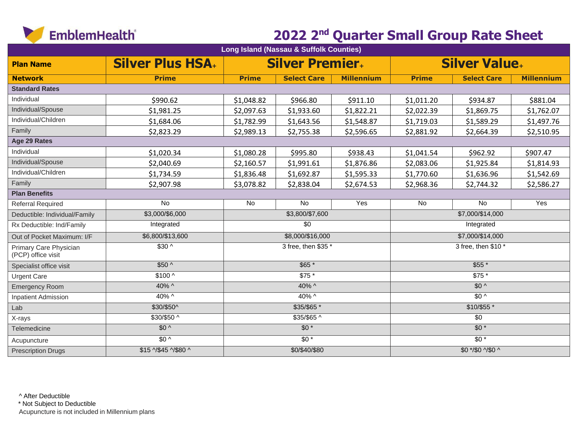

| Long Island (Nassau & Suffolk Counties)      |                        |                     |                        |                   |                             |                    |                   |  |
|----------------------------------------------|------------------------|---------------------|------------------------|-------------------|-----------------------------|--------------------|-------------------|--|
| <b>Plan Name</b>                             | <b>Silver Plus HSA</b> |                     | <b>Silver Premier.</b> |                   | <b>Silver Value.</b>        |                    |                   |  |
| <b>Network</b>                               | <b>Prime</b>           | <b>Prime</b>        | <b>Select Care</b>     | <b>Millennium</b> | <b>Prime</b>                | <b>Select Care</b> | <b>Millennium</b> |  |
| <b>Standard Rates</b>                        |                        |                     |                        |                   |                             |                    |                   |  |
| Individual                                   | \$990.62               | \$1,048.82          | \$966.80               | \$911.10          | \$1,011.20                  | \$934.87           | \$881.04          |  |
| Individual/Spouse                            | \$1,981.25             | \$2,097.63          | \$1,933.60             | \$1,822.21        | \$2,022.39                  | \$1,869.75         | \$1,762.07        |  |
| Individual/Children                          | \$1,684.06             | \$1,782.99          | \$1,643.56             | \$1,548.87        | \$1,719.03                  | \$1,589.29         | \$1,497.76        |  |
| Family                                       | \$2,823.29             | \$2,989.13          | \$2,755.38             | \$2,596.65        | \$2,881.92                  | \$2,664.39         | \$2,510.95        |  |
| Age 29 Rates                                 |                        |                     |                        |                   |                             |                    |                   |  |
| Individual                                   | \$1,020.34             | \$1,080.28          | \$995.80               | \$938.43          | \$1,041.54                  | \$962.92           | \$907.47          |  |
| Individual/Spouse                            | \$2,040.69             | \$2,160.57          | \$1,991.61             | \$1,876.86        | \$2,083.06                  | \$1,925.84         | \$1,814.93        |  |
| Individual/Children                          | \$1,734.59             | \$1,836.48          | \$1,692.87             | \$1,595.33        | \$1,770.60                  | \$1,636.96         | \$1,542.69        |  |
| Family                                       | \$2,907.98             | \$3,078.82          | \$2,838.04             | \$2,674.53        | \$2,968.36                  | \$2,744.32         | \$2,586.27        |  |
| <b>Plan Benefits</b>                         |                        |                     |                        |                   |                             |                    |                   |  |
| <b>Referral Required</b>                     | <b>No</b>              | <b>No</b>           | No                     | Yes               | No                          | <b>No</b>          | Yes               |  |
| Deductible: Individual/Family                | \$3,000/\$6,000        |                     | \$3,800/\$7,600        |                   |                             | \$7,000/\$14,000   |                   |  |
| Rx Deductible: Ind/Family                    | Integrated             |                     | $\overline{30}$        |                   | Integrated                  |                    |                   |  |
| Out of Pocket Maximum: I/F                   | \$6,800/\$13,600       |                     | \$8,000/\$16,000       |                   | \$7,000/\$14,000            |                    |                   |  |
| Primary Care Physician<br>(PCP) office visit | $$30^{\circ}$          | 3 free, then \$35 * |                        |                   | 3 free, then \$10 *         |                    |                   |  |
| Specialist office visit                      | $$50^{\circ}$          | $$65*$              |                        |                   | $$55*$                      |                    |                   |  |
| <b>Urgent Care</b>                           | $$100^{\circ}$         | $$75*$              |                        | $$75*$            |                             |                    |                   |  |
| <b>Emergency Room</b>                        | $40\%$ ^               | 40% ^               |                        |                   | $$0^{\circ}$                |                    |                   |  |
| <b>Inpatient Admission</b>                   | $40\%$ ^               | 40% ^               |                        |                   | $$0^{\circ}$                |                    |                   |  |
| Lab                                          | \$30/\$50^             | \$35/\$65 *         |                        |                   | \$10/\$55*                  |                    |                   |  |
| X-rays                                       | $$30/$50$ ^            |                     | $$35/\$65$ ^           |                   | $\overline{30}$             |                    |                   |  |
| Telemedicine                                 | $$0^{\circ}$           |                     | $$0*$                  |                   | $$0*$                       |                    |                   |  |
| Acupuncture                                  | $$0^{\circ}$           |                     | $\overline{50*}$       |                   | $\overline{50*}$            |                    |                   |  |
| <b>Prescription Drugs</b>                    | \$15 ^/\$45 ^/\$80 ^   | \$0/\$40/\$80       |                        |                   | $$0 * / $0 \sqrt $0 \wedge$ |                    |                   |  |

^ After Deductible

\* Not Subject to Deductible